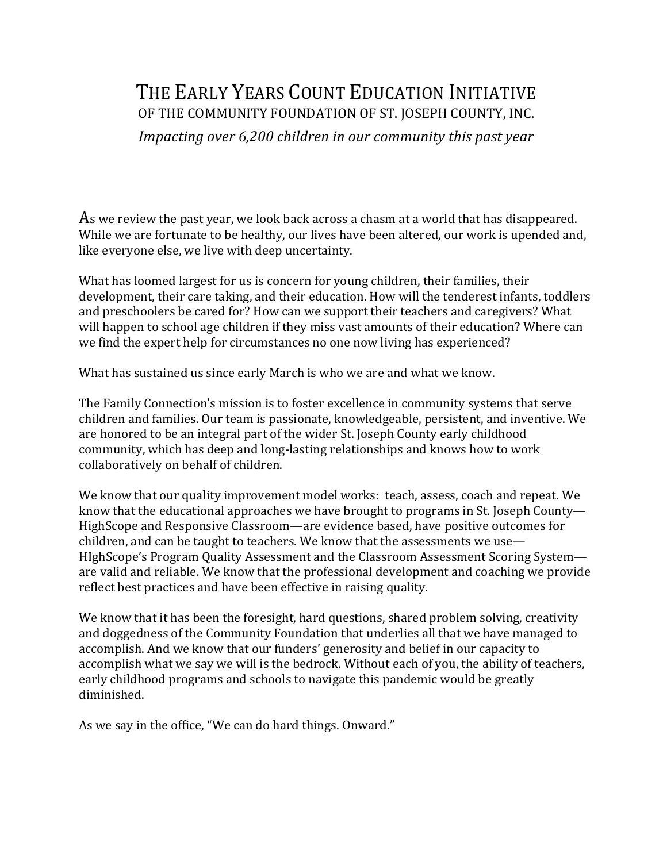## THE EARLY YEARS COUNT EDUCATION INITIATIVE OF THE COMMUNITY FOUNDATION OF ST. JOSEPH COUNTY, INC.

*Impacting over* 6,200 *children in our community this past year* 

As we review the past year, we look back across a chasm at a world that has disappeared. While we are fortunate to be healthy, our lives have been altered, our work is upended and, like everyone else, we live with deep uncertainty.

What has loomed largest for us is concern for young children, their families, their development, their care taking, and their education. How will the tenderest infants, toddlers and preschoolers be cared for? How can we support their teachers and caregivers? What will happen to school age children if they miss vast amounts of their education? Where can we find the expert help for circumstances no one now living has experienced?

What has sustained us since early March is who we are and what we know.

The Family Connection's mission is to foster excellence in community systems that serve children and families. Our team is passionate, knowledgeable, persistent, and inventive. We are honored to be an integral part of the wider St. Joseph County early childhood community, which has deep and long-lasting relationships and knows how to work collaboratively on behalf of children.

We know that our quality improvement model works: teach, assess, coach and repeat. We know that the educational approaches we have brought to programs in St. Joseph County— HighScope and Responsive Classroom—are evidence based, have positive outcomes for children, and can be taught to teachers. We know that the assessments we use-HIghScope's Program Quality Assessment and the Classroom Assessment Scoring System are valid and reliable. We know that the professional development and coaching we provide reflect best practices and have been effective in raising quality.

We know that it has been the foresight, hard questions, shared problem solving, creativity and doggedness of the Community Foundation that underlies all that we have managed to accomplish. And we know that our funders' generosity and belief in our capacity to accomplish what we say we will is the bedrock. Without each of you, the ability of teachers, early childhood programs and schools to navigate this pandemic would be greatly diminished.

As we say in the office, "We can do hard things. Onward."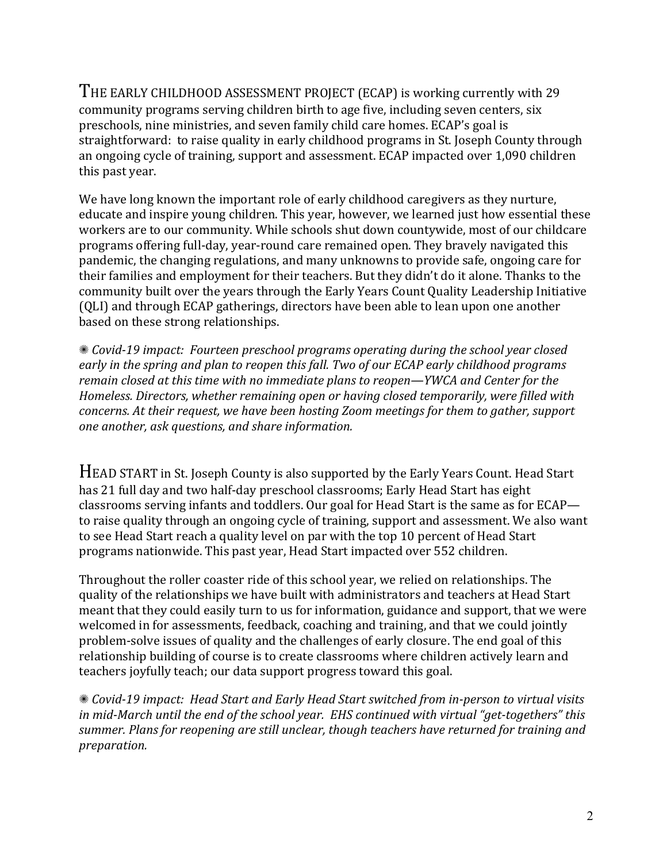THE EARLY CHILDHOOD ASSESSMENT PROJECT (ECAP) is working currently with 29 community programs serving children birth to age five, including seven centers, six preschools, nine ministries, and seven family child care homes. ECAP's goal is straightforward: to raise quality in early childhood programs in St. Joseph County through an ongoing cycle of training, support and assessment. ECAP impacted over 1,090 children this past year.

We have long known the important role of early childhood caregivers as they nurture, educate and inspire young children. This year, however, we learned just how essential these workers are to our community. While schools shut down countywide, most of our childcare programs offering full-day, year-round care remained open. They bravely navigated this pandemic, the changing regulations, and many unknowns to provide safe, ongoing care for their families and employment for their teachers. But they didn't do it alone. Thanks to the community built over the years through the Early Years Count Quality Leadership Initiative (OLI) and through ECAP gatherings, directors have been able to lean upon one another based on these strong relationships.

**K** *Covid-19* impact: Fourteen preschool programs operating during the school year closed early in the spring and plan to reopen this fall. Two of our ECAP early childhood programs *remain closed at this time with no immediate plans to reopen—YWCA and Center for the Homeless. Directors, whether remaining open or having closed temporarily, were filled with concerns.* At their request, we have been hosting Zoom meetings for them to gather, support *one another, ask questions, and share information.*

HEAD START in St. Joseph County is also supported by the Early Years Count. Head Start has 21 full day and two half-day preschool classrooms; Early Head Start has eight classrooms serving infants and toddlers. Our goal for Head Start is the same as for  $ECAP$  to raise quality through an ongoing cycle of training, support and assessment. We also want to see Head Start reach a quality level on par with the top 10 percent of Head Start programs nationwide. This past year, Head Start impacted over 552 children.

Throughout the roller coaster ride of this school year, we relied on relationships. The quality of the relationships we have built with administrators and teachers at Head Start meant that they could easily turn to us for information, guidance and support, that we were welcomed in for assessments, feedback, coaching and training, and that we could jointly problem-solve issues of quality and the challenges of early closure. The end goal of this relationship building of course is to create classrooms where children actively learn and teachers joyfully teach; our data support progress toward this goal.

**\*** *Covid-19* impact: Head Start and Early Head Start switched from in-person to virtual visits in mid-March until the end of the school year. EHS continued with virtual "get-togethers" this summer. Plans for reopening are still unclear, though teachers have returned for training and *preparation.*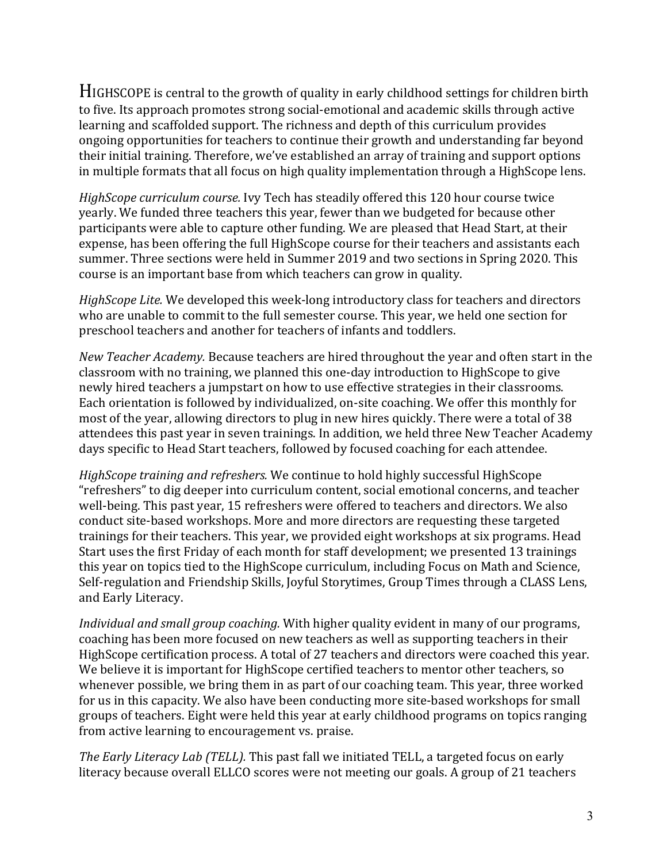HIGHSCOPE is central to the growth of quality in early childhood settings for children birth to five. Its approach promotes strong social-emotional and academic skills through active learning and scaffolded support. The richness and depth of this curriculum provides ongoing opportunities for teachers to continue their growth and understanding far beyond their initial training. Therefore, we've established an array of training and support options in multiple formats that all focus on high quality implementation through a HighScope lens.

*HighScope curriculum course.* Ivy Tech has steadily offered this 120 hour course twice yearly. We funded three teachers this year, fewer than we budgeted for because other participants were able to capture other funding. We are pleased that Head Start, at their expense, has been offering the full HighScope course for their teachers and assistants each summer. Three sections were held in Summer 2019 and two sections in Spring 2020. This course is an important base from which teachers can grow in quality.

*HighScope Lite.* We developed this week-long introductory class for teachers and directors who are unable to commit to the full semester course. This year, we held one section for preschool teachers and another for teachers of infants and toddlers.

*New Teacher Academy.* Because teachers are hired throughout the year and often start in the classroom with no training, we planned this one-day introduction to HighScope to give newly hired teachers a jumpstart on how to use effective strategies in their classrooms. Each orientation is followed by individualized, on-site coaching. We offer this monthly for most of the year, allowing directors to plug in new hires quickly. There were a total of 38 attendees this past year in seven trainings. In addition, we held three New Teacher Academy days specific to Head Start teachers, followed by focused coaching for each attendee.

*HighScope training and refreshers.* We continue to hold highly successful HighScope "refreshers" to dig deeper into curriculum content, social emotional concerns, and teacher well-being. This past year, 15 refreshers were offered to teachers and directors. We also conduct site-based workshops. More and more directors are requesting these targeted trainings for their teachers. This year, we provided eight workshops at six programs. Head Start uses the first Friday of each month for staff development; we presented 13 trainings this year on topics tied to the HighScope curriculum, including Focus on Math and Science, Self-regulation and Friendship Skills, Joyful Storytimes, Group Times through a CLASS Lens, and Early Literacy.

*Individual and small group coaching.* With higher quality evident in many of our programs, coaching has been more focused on new teachers as well as supporting teachers in their HighScope certification process. A total of 27 teachers and directors were coached this year. We believe it is important for HighScope certified teachers to mentor other teachers, so whenever possible, we bring them in as part of our coaching team. This year, three worked for us in this capacity. We also have been conducting more site-based workshops for small groups of teachers. Eight were held this year at early childhood programs on topics ranging from active learning to encouragement vs. praise.

*The Early Literacy Lab (TELL).* This past fall we initiated TELL, a targeted focus on early literacy because overall ELLCO scores were not meeting our goals. A group of 21 teachers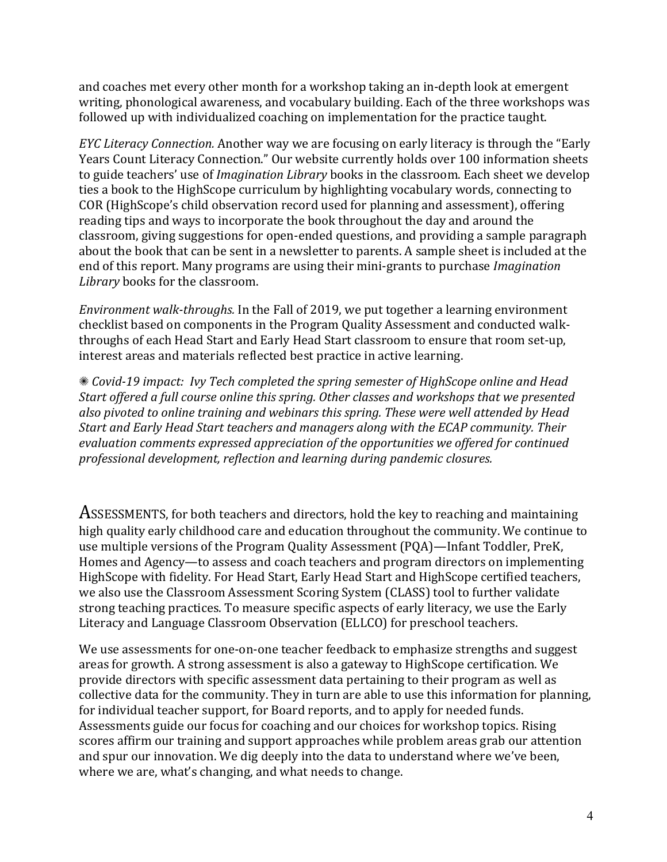and coaches met every other month for a workshop taking an in-depth look at emergent writing, phonological awareness, and vocabulary building. Each of the three workshops was followed up with individualized coaching on implementation for the practice taught.

*EYC Literacy Connection.* Another way we are focusing on early literacy is through the "Early Years Count Literacy Connection." Our website currently holds over 100 information sheets to guide teachers' use of *Imagination Library* books in the classroom. Each sheet we develop ties a book to the HighScope curriculum by highlighting vocabulary words, connecting to COR (HighScope's child observation record used for planning and assessment), offering reading tips and ways to incorporate the book throughout the day and around the classroom, giving suggestions for open-ended questions, and providing a sample paragraph about the book that can be sent in a newsletter to parents. A sample sheet is included at the end of this report. Many programs are using their mini-grants to purchase *Imagination* Library books for the classroom.

*Environment walk-throughs.* In the Fall of 2019, we put together a learning environment checklist based on components in the Program Quality Assessment and conducted walkthroughs of each Head Start and Early Head Start classroom to ensure that room set-up, interest areas and materials reflected best practice in active learning.

✺ *Covid-19 impact: Ivy Tech completed the spring semester of HighScope online and Head Start offered a full course online this spring. Other classes and workshops that we presented* also pivoted to online training and webinars this spring. These were well attended by Head *Start and Early Head Start teachers and managers along with the ECAP community. Their* evaluation comments expressed appreciation of the opportunities we offered for continued *professional development, reflection and learning during pandemic closures.*

ASSESSMENTS, for both teachers and directors, hold the key to reaching and maintaining high quality early childhood care and education throughout the community. We continue to use multiple versions of the Program Quality Assessment (PQA)—Infant Toddler, PreK, Homes and Agency—to assess and coach teachers and program directors on implementing HighScope with fidelity. For Head Start, Early Head Start and HighScope certified teachers, we also use the Classroom Assessment Scoring System (CLASS) tool to further validate strong teaching practices. To measure specific aspects of early literacy, we use the Early Literacy and Language Classroom Observation (ELLCO) for preschool teachers.

We use assessments for one-on-one teacher feedback to emphasize strengths and suggest areas for growth. A strong assessment is also a gateway to HighScope certification. We provide directors with specific assessment data pertaining to their program as well as collective data for the community. They in turn are able to use this information for planning, for individual teacher support, for Board reports, and to apply for needed funds. Assessments guide our focus for coaching and our choices for workshop topics. Rising scores affirm our training and support approaches while problem areas grab our attention and spur our innovation. We dig deeply into the data to understand where we've been, where we are, what's changing, and what needs to change.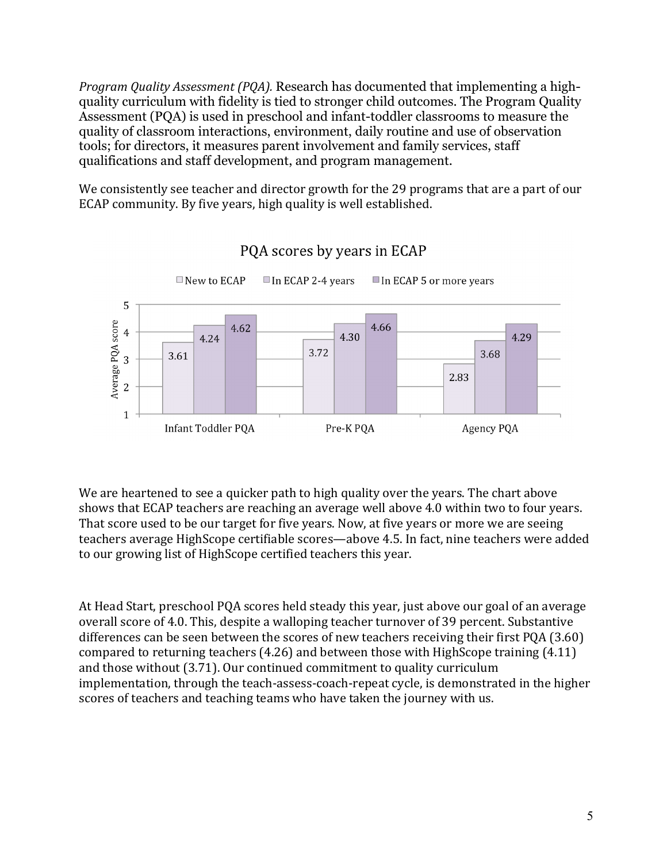*Program Quality Assessment (PQA).* Research has documented that implementing a highquality curriculum with fidelity is tied to stronger child outcomes. The Program Quality Assessment (PQA) is used in preschool and infant-toddler classrooms to measure the quality of classroom interactions, environment, daily routine and use of observation tools; for directors, it measures parent involvement and family services, staff qualifications and staff development, and program management.

We consistently see teacher and director growth for the 29 programs that are a part of our ECAP community. By five years, high quality is well established.



PQA scores by years in ECAP

We are heartened to see a quicker path to high quality over the years. The chart above shows that ECAP teachers are reaching an average well above 4.0 within two to four years. That score used to be our target for five years. Now, at five years or more we are seeing teachers average HighScope certifiable scores—above 4.5. In fact, nine teachers were added to our growing list of HighScope certified teachers this year.

At Head Start, preschool POA scores held steady this year, just above our goal of an average overall score of 4.0. This, despite a walloping teacher turnover of 39 percent. Substantive differences can be seen between the scores of new teachers receiving their first  $PQA (3.60)$ compared to returning teachers  $(4.26)$  and between those with HighScope training  $(4.11)$ and those without (3.71). Our continued commitment to quality curriculum implementation, through the teach-assess-coach-repeat cycle, is demonstrated in the higher scores of teachers and teaching teams who have taken the journey with us.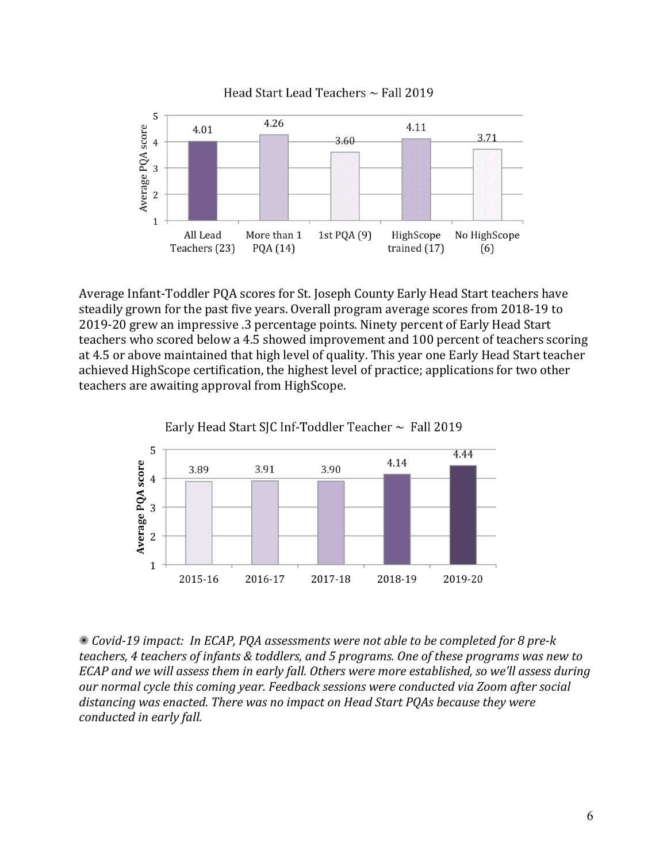

Average Infant-Toddler PQA scores for St. Joseph County Early Head Start teachers have steadily grown for the past five years. Overall program average scores from 2018-19 to 2019-20 grew an impressive .3 percentage points. Ninety percent of Early Head Start teachers who scored below a 4.5 showed improvement and 100 percent of teachers scoring at 4.5 or above maintained that high level of quality. This year one Early Head Start teacher achieved HighScope certification, the highest level of practice; applications for two other teachers are awaiting approval from HighScope.



✺ *Covid-19 impact: In ECAP, PQA assessments were not able to be completed for 8 pre-k teachers, 4 teachers of infants & toddlers, and 5 programs. One of these programs was new to ECAP* and we will assess them in early fall. Others were more established, so we'll assess during our normal cycle this coming year. Feedback sessions were conducted via Zoom after social distancing was enacted. There was no impact on Head Start POAs because they were *conducted in early fall.* 

Head Start Lead Teachers  $\sim$  Fall 2019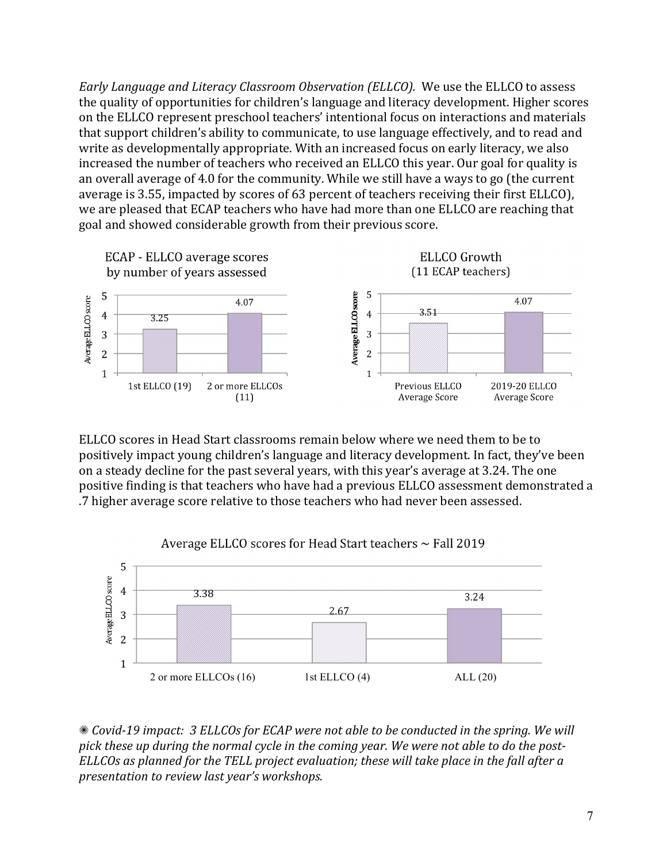*Early Language and Literacy Classroom Observation (ELLCO).* We use the ELLCO to assess the quality of opportunities for children's language and literacy development. Higher scores on the ELLCO represent preschool teachers' intentional focus on interactions and materials that support children's ability to communicate, to use language effectively, and to read and write as developmentally appropriate. With an increased focus on early literacy, we also increased the number of teachers who received an ELLCO this year. Our goal for quality is an overall average of 4.0 for the community. While we still have a ways to go (the current average is 3.55, impacted by scores of 63 percent of teachers receiving their first ELLCO), we are pleased that ECAP teachers who have had more than one ELLCO are reaching that goal and showed considerable growth from their previous score.



ELLCO scores in Head Start classrooms remain below where we need them to be to positively impact young children's language and literacy development. In fact, they've been on a steady decline for the past several years, with this year's average at 3.24. The one positive finding is that teachers who have had a previous ELLCO assessment demonstrated a .7 higher average score relative to those teachers who had never been assessed.



Average ELLCO scores for Head Start teachers  $\sim$  Fall 2019

**\*** *Covid-19* impact: 3 ELLCOs for ECAP were not able to be conducted in the spring. We will pick these up during the normal cycle in the coming year. We were not able to do the post-*ELLCOs* as planned for the TELL project evaluation; these will take place in the fall after a *presentation to review last year's workshops.*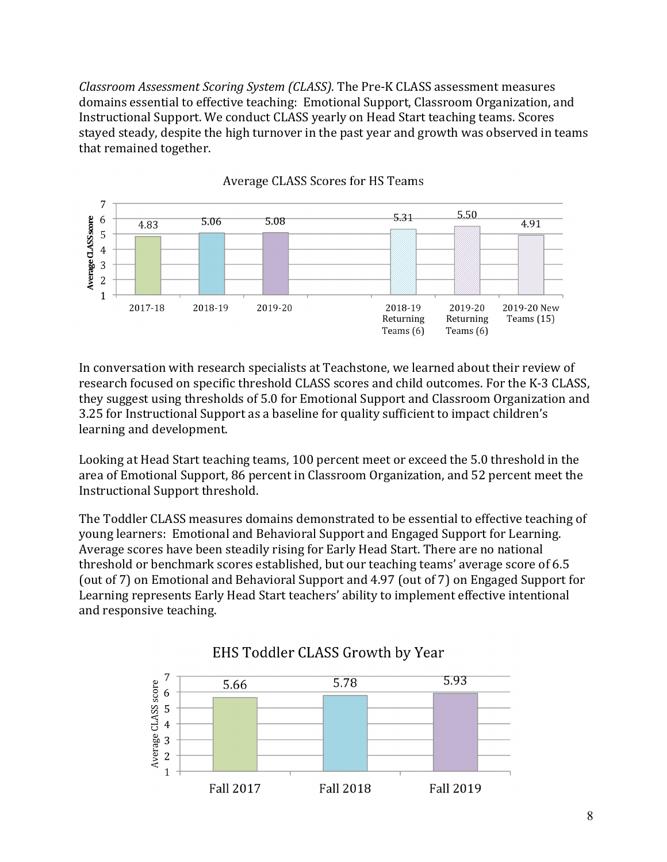*Classroom Assessment Scoring System (CLASS).* The Pre-K CLASS assessment measures domains essential to effective teaching: Emotional Support, Classroom Organization, and Instructional Support. We conduct CLASS yearly on Head Start teaching teams. Scores stayed steady, despite the high turnover in the past year and growth was observed in teams that remained together.



**Average CLASS Scores for HS Teams** 

In conversation with research specialists at Teachstone, we learned about their review of research focused on specific threshold CLASS scores and child outcomes. For the K-3 CLASS, they suggest using thresholds of 5.0 for Emotional Support and Classroom Organization and 3.25 for Instructional Support as a baseline for quality sufficient to impact children's learning and development.

Looking at Head Start teaching teams, 100 percent meet or exceed the 5.0 threshold in the area of Emotional Support, 86 percent in Classroom Organization, and 52 percent meet the Instructional Support threshold.

The Toddler CLASS measures domains demonstrated to be essential to effective teaching of young learners: Emotional and Behavioral Support and Engaged Support for Learning. Average scores have been steadily rising for Early Head Start. There are no national threshold or benchmark scores established, but our teaching teams' average score of 6.5 (out of 7) on Emotional and Behavioral Support and 4.97 (out of 7) on Engaged Support for Learning represents Early Head Start teachers' ability to implement effective intentional and responsive teaching.



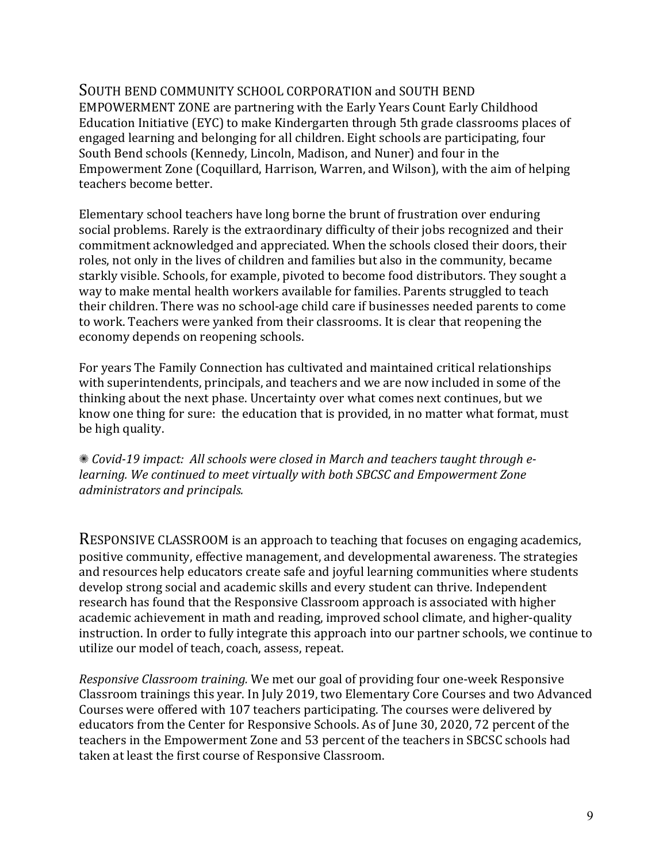## SOUTH BEND COMMUNITY SCHOOL CORPORATION and SOUTH BEND

EMPOWERMENT ZONE are partnering with the Early Years Count Early Childhood Education Initiative (EYC) to make Kindergarten through 5th grade classrooms places of engaged learning and belonging for all children. Eight schools are participating, four South Bend schools (Kennedy, Lincoln, Madison, and Nuner) and four in the Empowerment Zone (Coquillard, Harrison, Warren, and Wilson), with the aim of helping teachers become better.

Elementary school teachers have long borne the brunt of frustration over enduring social problems. Rarely is the extraordinary difficulty of their jobs recognized and their commitment acknowledged and appreciated. When the schools closed their doors, their roles, not only in the lives of children and families but also in the community, became starkly visible. Schools, for example, pivoted to become food distributors. They sought a way to make mental health workers available for families. Parents struggled to teach their children. There was no school-age child care if businesses needed parents to come to work. Teachers were vanked from their classrooms. It is clear that reopening the economy depends on reopening schools.

For years The Family Connection has cultivated and maintained critical relationships with superintendents, principals, and teachers and we are now included in some of the thinking about the next phase. Uncertainty over what comes next continues, but we know one thing for sure: the education that is provided, in no matter what format, must be high quality.

**\*** *Covid-19* impact: All schools were closed in March and teachers taught through e*learning.* We continued to meet virtually with both SBCSC and Empowerment Zone *administrators and principals.*

RESPONSIVE CLASSROOM is an approach to teaching that focuses on engaging academics, positive community, effective management, and developmental awareness. The strategies and resources help educators create safe and joyful learning communities where students develop strong social and academic skills and every student can thrive. Independent research has found that the Responsive Classroom approach is associated with higher academic achievement in math and reading, improved school climate, and higher-quality instruction. In order to fully integrate this approach into our partner schools, we continue to utilize our model of teach, coach, assess, repeat.

*Responsive Classroom training.* We met our goal of providing four one-week Responsive Classroom trainings this year. In July 2019, two Elementary Core Courses and two Advanced Courses were offered with 107 teachers participating. The courses were delivered by educators from the Center for Responsive Schools. As of June 30, 2020, 72 percent of the teachers in the Empowerment Zone and 53 percent of the teachers in SBCSC schools had taken at least the first course of Responsive Classroom.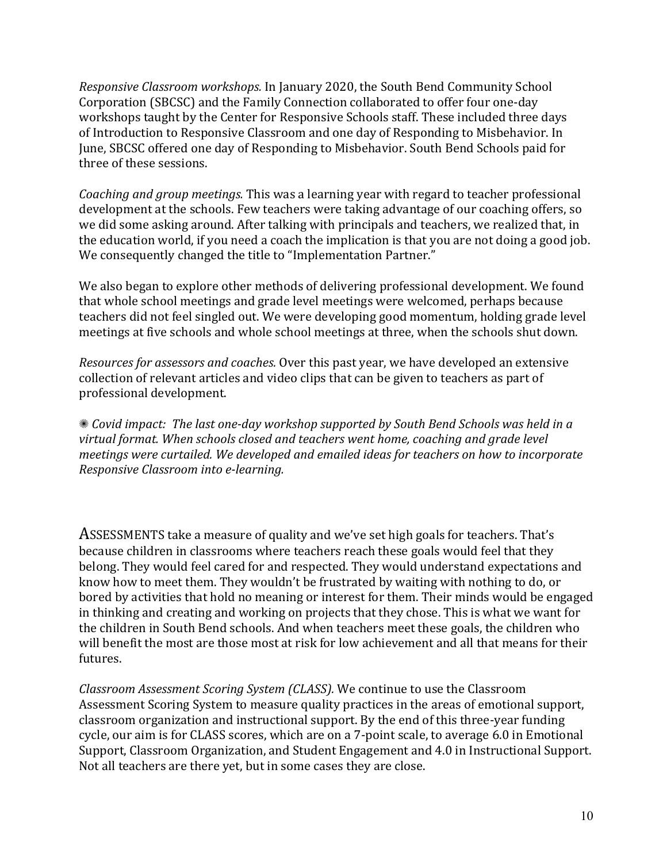*Responsive Classroom workshops.* In January 2020, the South Bend Community School Corporation (SBCSC) and the Family Connection collaborated to offer four one-day workshops taught by the Center for Responsive Schools staff. These included three days of Introduction to Responsive Classroom and one day of Responding to Misbehavior. In June, SBCSC offered one day of Responding to Misbehavior. South Bend Schools paid for three of these sessions.

*Coaching and group meetings.* This was a learning year with regard to teacher professional development at the schools. Few teachers were taking advantage of our coaching offers, so we did some asking around. After talking with principals and teachers, we realized that, in the education world, if you need a coach the implication is that you are not doing a good job. We consequently changed the title to "Implementation Partner."

We also began to explore other methods of delivering professional development. We found that whole school meetings and grade level meetings were welcomed, perhaps because teachers did not feel singled out. We were developing good momentum, holding grade level meetings at five schools and whole school meetings at three, when the schools shut down.

*Resources for assessors and coaches.* Over this past year, we have developed an extensive collection of relevant articles and video clips that can be given to teachers as part of professional development.

**\*\*** *Covid impact: The last one-day workshop supported by South Bend Schools was held in a virtual* format. When schools closed and teachers went home, coaching and grade level *meetings* were curtailed. We developed and emailed ideas for teachers on how to incorporate *Responsive Classroom into e-learning.*

ASSESSMENTS take a measure of quality and we've set high goals for teachers. That's because children in classrooms where teachers reach these goals would feel that they belong. They would feel cared for and respected. They would understand expectations and know how to meet them. They wouldn't be frustrated by waiting with nothing to do, or bored by activities that hold no meaning or interest for them. Their minds would be engaged in thinking and creating and working on projects that they chose. This is what we want for the children in South Bend schools. And when teachers meet these goals, the children who will benefit the most are those most at risk for low achievement and all that means for their futures.

*Classroom Assessment Scoring System (CLASS).* We continue to use the Classroom Assessment Scoring System to measure quality practices in the areas of emotional support, classroom organization and instructional support. By the end of this three-year funding cycle, our aim is for CLASS scores, which are on a 7-point scale, to average 6.0 in Emotional Support, Classroom Organization, and Student Engagement and 4.0 in Instructional Support. Not all teachers are there yet, but in some cases they are close.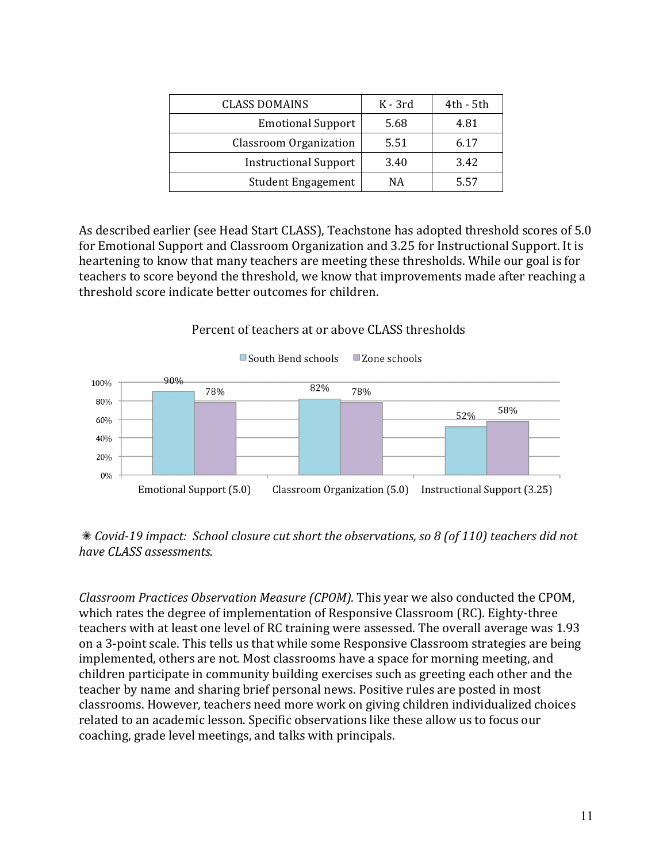| <b>CLASS DOMAINS</b>         | K - 3rd | 4th - 5th |
|------------------------------|---------|-----------|
| <b>Emotional Support</b>     | 5.68    | 4.81      |
| Classroom Organization       | 5.51    | 6.17      |
| <b>Instructional Support</b> | 3.40    | 3.42      |
| <b>Student Engagement</b>    | ΝA      | 5.57      |

As described earlier (see Head Start CLASS), Teachstone has adopted threshold scores of 5.0 for Emotional Support and Classroom Organization and 3.25 for Instructional Support. It is heartening to know that many teachers are meeting these thresholds. While our goal is for teachers to score beyond the threshold, we know that improvements made after reaching a threshold score indicate better outcomes for children.



Percent of teachers at or above CLASS thresholds

**\*** *Covid-19* impact: School closure cut short the observations, so 8 (of 110) teachers did not *have CLASS assessments.* 

*Classroom Practices Observation Measure (CPOM).* This year we also conducted the CPOM, which rates the degree of implementation of Responsive Classroom (RC). Eighty-three teachers with at least one level of RC training were assessed. The overall average was 1.93 on a 3-point scale. This tells us that while some Responsive Classroom strategies are being implemented, others are not. Most classrooms have a space for morning meeting, and children participate in community building exercises such as greeting each other and the teacher by name and sharing brief personal news. Positive rules are posted in most classrooms. However, teachers need more work on giving children individualized choices related to an academic lesson. Specific observations like these allow us to focus our coaching, grade level meetings, and talks with principals.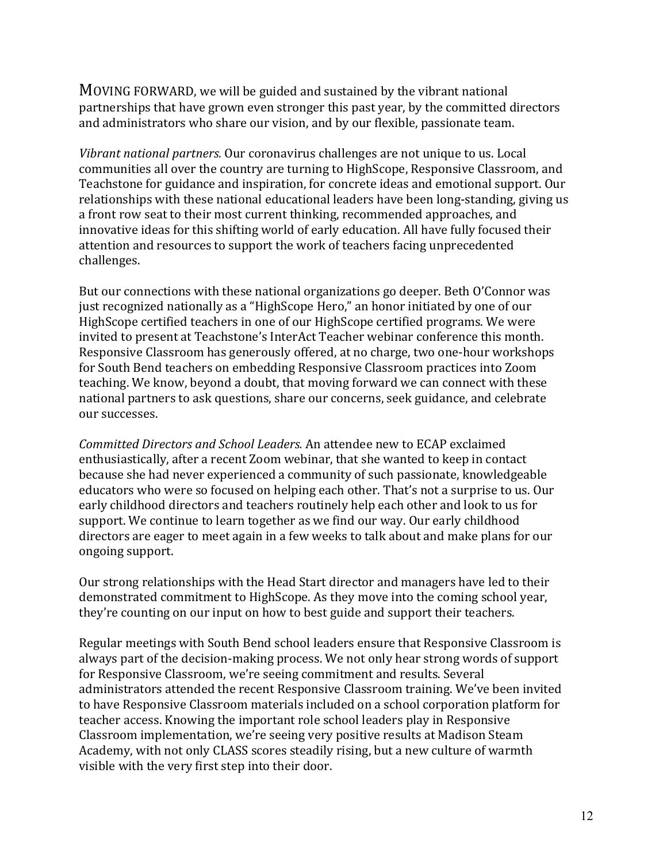MOVING FORWARD, we will be guided and sustained by the vibrant national partnerships that have grown even stronger this past year, by the committed directors and administrators who share our vision, and by our flexible, passionate team.

*Vibrant national partners.* Our coronavirus challenges are not unique to us. Local communities all over the country are turning to HighScope, Responsive Classroom, and Teachstone for guidance and inspiration, for concrete ideas and emotional support. Our relationships with these national educational leaders have been long-standing, giving us a front row seat to their most current thinking, recommended approaches, and innovative ideas for this shifting world of early education. All have fully focused their attention and resources to support the work of teachers facing unprecedented challenges.

But our connections with these national organizations go deeper. Beth O'Connor was just recognized nationally as a "HighScope Hero," an honor initiated by one of our HighScope certified teachers in one of our HighScope certified programs. We were invited to present at Teachstone's InterAct Teacher webinar conference this month. Responsive Classroom has generously offered, at no charge, two one-hour workshops for South Bend teachers on embedding Responsive Classroom practices into Zoom teaching. We know, beyond a doubt, that moving forward we can connect with these national partners to ask questions, share our concerns, seek guidance, and celebrate our successes.

Committed Directors and School Leaders. An attendee new to ECAP exclaimed enthusiastically, after a recent Zoom webinar, that she wanted to keep in contact because she had never experienced a community of such passionate, knowledgeable educators who were so focused on helping each other. That's not a surprise to us. Our early childhood directors and teachers routinely help each other and look to us for support. We continue to learn together as we find our way. Our early childhood directors are eager to meet again in a few weeks to talk about and make plans for our ongoing support.

Our strong relationships with the Head Start director and managers have led to their demonstrated commitment to HighScope. As they move into the coming school year, they're counting on our input on how to best guide and support their teachers.

Regular meetings with South Bend school leaders ensure that Responsive Classroom is always part of the decision-making process. We not only hear strong words of support for Responsive Classroom, we're seeing commitment and results. Several administrators attended the recent Responsive Classroom training. We've been invited to have Responsive Classroom materials included on a school corporation platform for teacher access. Knowing the important role school leaders play in Responsive Classroom implementation, we're seeing very positive results at Madison Steam Academy, with not only CLASS scores steadily rising, but a new culture of warmth visible with the very first step into their door.